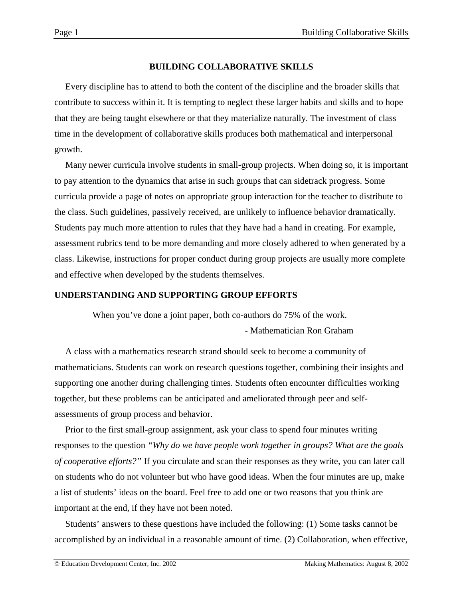## **BUILDING COLLABORATIVE SKILLS**

Every discipline has to attend to both the content of the discipline and the broader skills that contribute to success within it. It is tempting to neglect these larger habits and skills and to hope that they are being taught elsewhere or that they materialize naturally. The investment of class time in the development of collaborative skills produces both mathematical and interpersonal growth.

Many newer curricula involve students in small-group projects. When doing so, it is important to pay attention to the dynamics that arise in such groups that can sidetrack progress. Some curricula provide a page of notes on appropriate group interaction for the teacher to distribute to the class. Such guidelines, passively received, are unlikely to influence behavior dramatically. Students pay much more attention to rules that they have had a hand in creating. For example, assessment rubrics tend to be more demanding and more closely adhered to when generated by a class. Likewise, instructions for proper conduct during group projects are usually more complete and effective when developed by the students themselves.

## **UNDERSTANDING AND SUPPORTING GROUP EFFORTS**

When you've done a joint paper, both co-authors do 75% of the work.

- Mathematician Ron Graham

A class with a mathematics research strand should seek to become a community of mathematicians. Students can work on research questions together, combining their insights and supporting one another during challenging times. Students often encounter difficulties working together, but these problems can be anticipated and ameliorated through peer and selfassessments of group process and behavior.

Prior to the first small-group assignment, ask your class to spend four minutes writing responses to the question *"Why do we have people work together in groups? What are the goals of cooperative efforts?"* If you circulate and scan their responses as they write, you can later call on students who do not volunteer but who have good ideas. When the four minutes are up, make a list of students' ideas on the board. Feel free to add one or two reasons that you think are important at the end, if they have not been noted.

Students' answers to these questions have included the following: (1) Some tasks cannot be accomplished by an individual in a reasonable amount of time. (2) Collaboration, when effective,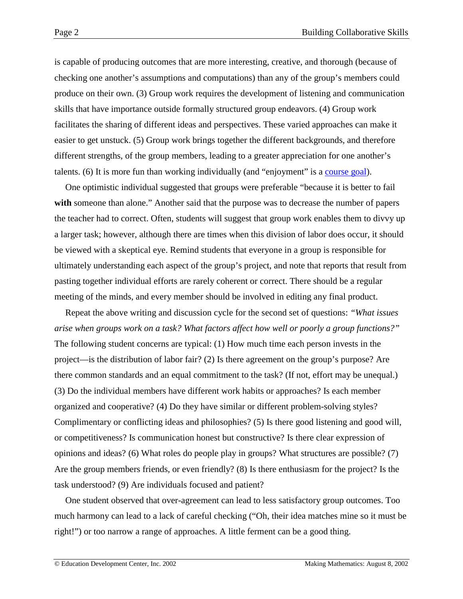is capable of producing outcomes that are more interesting, creative, and thorough (because of checking one another's assumptions and computations) than any of the group's members could produce on their own. (3) Group work requires the development of listening and communication skills that have importance outside formally structured group endeavors. (4) Group work facilitates the sharing of different ideas and perspectives. These varied approaches can make it easier to get unstuck. (5) Group work brings together the different backgrounds, and therefore different strengths, of the group members, leading to a greater appreciation for one another's talents. (6) It is more fun than working individually (and "enjoyment" is a [course goal\)](http://www2.edc.org/makingmath/handbook/teacher/SettingAndSharingGoals/SettingAndSharingGoals.asp).

One optimistic individual suggested that groups were preferable "because it is better to fail **with** someone than alone." Another said that the purpose was to decrease the number of papers the teacher had to correct. Often, students will suggest that group work enables them to divvy up a larger task; however, although there are times when this division of labor does occur, it should be viewed with a skeptical eye. Remind students that everyone in a group is responsible for ultimately understanding each aspect of the group's project, and note that reports that result from pasting together individual efforts are rarely coherent or correct. There should be a regular meeting of the minds, and every member should be involved in editing any final product.

Repeat the above writing and discussion cycle for the second set of questions: *"What issues arise when groups work on a task? What factors affect how well or poorly a group functions?"* The following student concerns are typical: (1) How much time each person invests in the project—is the distribution of labor fair? (2) Is there agreement on the group's purpose? Are there common standards and an equal commitment to the task? (If not, effort may be unequal.) (3) Do the individual members have different work habits or approaches? Is each member organized and cooperative? (4) Do they have similar or different problem-solving styles? Complimentary or conflicting ideas and philosophies? (5) Is there good listening and good will, or competitiveness? Is communication honest but constructive? Is there clear expression of opinions and ideas? (6) What roles do people play in groups? What structures are possible? (7) Are the group members friends, or even friendly? (8) Is there enthusiasm for the project? Is the task understood? (9) Are individuals focused and patient?

One student observed that over-agreement can lead to less satisfactory group outcomes. Too much harmony can lead to a lack of careful checking ("Oh, their idea matches mine so it must be right!") or too narrow a range of approaches. A little ferment can be a good thing.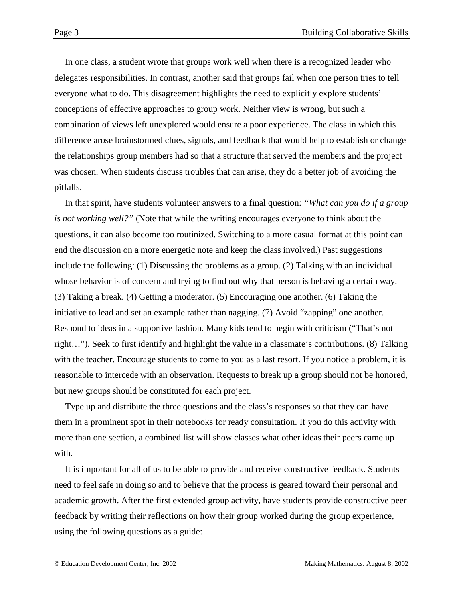In one class, a student wrote that groups work well when there is a recognized leader who delegates responsibilities. In contrast, another said that groups fail when one person tries to tell everyone what to do. This disagreement highlights the need to explicitly explore students' conceptions of effective approaches to group work. Neither view is wrong, but such a combination of views left unexplored would ensure a poor experience. The class in which this difference arose brainstormed clues, signals, and feedback that would help to establish or change the relationships group members had so that a structure that served the members and the project was chosen. When students discuss troubles that can arise, they do a better job of avoiding the pitfalls.

In that spirit, have students volunteer answers to a final question: *"What can you do if a group is not working well?"* (Note that while the writing encourages everyone to think about the questions, it can also become too routinized. Switching to a more casual format at this point can end the discussion on a more energetic note and keep the class involved.) Past suggestions include the following: (1) Discussing the problems as a group. (2) Talking with an individual whose behavior is of concern and trying to find out why that person is behaving a certain way. (3) Taking a break. (4) Getting a moderator. (5) Encouraging one another. (6) Taking the initiative to lead and set an example rather than nagging. (7) Avoid "zapping" one another. Respond to ideas in a supportive fashion. Many kids tend to begin with criticism ("That's not right…"). Seek to first identify and highlight the value in a classmate's contributions. (8) Talking with the teacher. Encourage students to come to you as a last resort. If you notice a problem, it is reasonable to intercede with an observation. Requests to break up a group should not be honored, but new groups should be constituted for each project.

Type up and distribute the three questions and the class's responses so that they can have them in a prominent spot in their notebooks for ready consultation. If you do this activity with more than one section, a combined list will show classes what other ideas their peers came up with.

It is important for all of us to be able to provide and receive constructive feedback. Students need to feel safe in doing so and to believe that the process is geared toward their personal and academic growth. After the first extended group activity, have students provide constructive peer feedback by writing their reflections on how their group worked during the group experience, using the following questions as a guide: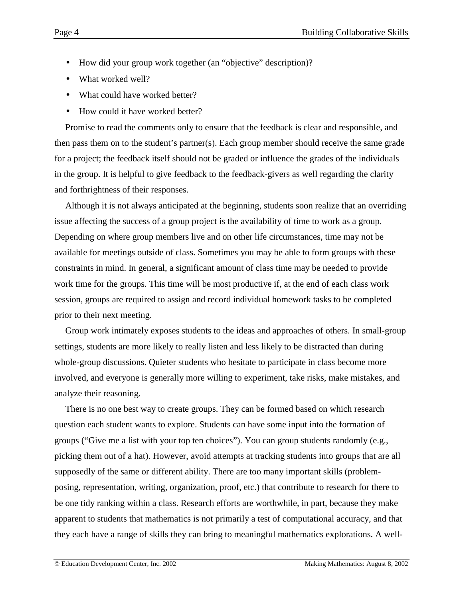- How did your group work together (an "objective" description)?
- What worked well?
- What could have worked better?
- How could it have worked better?

Promise to read the comments only to ensure that the feedback is clear and responsible, and then pass them on to the student's partner(s). Each group member should receive the same grade for a project; the feedback itself should not be graded or influence the grades of the individuals in the group. It is helpful to give feedback to the feedback-givers as well regarding the clarity and forthrightness of their responses.

Although it is not always anticipated at the beginning, students soon realize that an overriding issue affecting the success of a group project is the availability of time to work as a group. Depending on where group members live and on other life circumstances, time may not be available for meetings outside of class. Sometimes you may be able to form groups with these constraints in mind. In general, a significant amount of class time may be needed to provide work time for the groups. This time will be most productive if, at the end of each class work session, groups are required to assign and record individual homework tasks to be completed prior to their next meeting.

Group work intimately exposes students to the ideas and approaches of others. In small-group settings, students are more likely to really listen and less likely to be distracted than during whole-group discussions. Quieter students who hesitate to participate in class become more involved, and everyone is generally more willing to experiment, take risks, make mistakes, and analyze their reasoning.

There is no one best way to create groups. They can be formed based on which research question each student wants to explore. Students can have some input into the formation of groups ("Give me a list with your top ten choices"). You can group students randomly (e.g., picking them out of a hat). However, avoid attempts at tracking students into groups that are all supposedly of the same or different ability. There are too many important skills (problemposing, representation, writing, organization, proof, etc.) that contribute to research for there to be one tidy ranking within a class. Research efforts are worthwhile, in part, because they make apparent to students that mathematics is not primarily a test of computational accuracy, and that they each have a range of skills they can bring to meaningful mathematics explorations. A well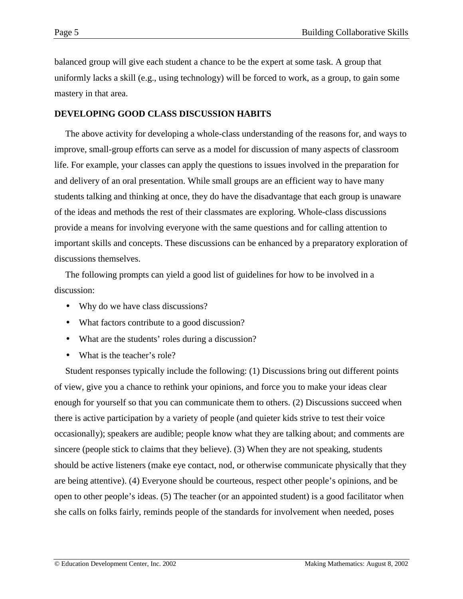balanced group will give each student a chance to be the expert at some task. A group that uniformly lacks a skill (e.g., using technology) will be forced to work, as a group, to gain some mastery in that area.

## **DEVELOPING GOOD CLASS DISCUSSION HABITS**

The above activity for developing a whole-class understanding of the reasons for, and ways to improve, small-group efforts can serve as a model for discussion of many aspects of classroom life. For example, your classes can apply the questions to issues involved in the preparation for and delivery of an oral presentation. While small groups are an efficient way to have many students talking and thinking at once, they do have the disadvantage that each group is unaware of the ideas and methods the rest of their classmates are exploring. Whole-class discussions provide a means for involving everyone with the same questions and for calling attention to important skills and concepts. These discussions can be enhanced by a preparatory exploration of discussions themselves.

The following prompts can yield a good list of guidelines for how to be involved in a discussion:

- Why do we have class discussions?
- What factors contribute to a good discussion?
- What are the students' roles during a discussion?
- What is the teacher's role?

Student responses typically include the following: (1) Discussions bring out different points of view, give you a chance to rethink your opinions, and force you to make your ideas clear enough for yourself so that you can communicate them to others. (2) Discussions succeed when there is active participation by a variety of people (and quieter kids strive to test their voice occasionally); speakers are audible; people know what they are talking about; and comments are sincere (people stick to claims that they believe). (3) When they are not speaking, students should be active listeners (make eye contact, nod, or otherwise communicate physically that they are being attentive). (4) Everyone should be courteous, respect other people's opinions, and be open to other people's ideas. (5) The teacher (or an appointed student) is a good facilitator when she calls on folks fairly, reminds people of the standards for involvement when needed, poses